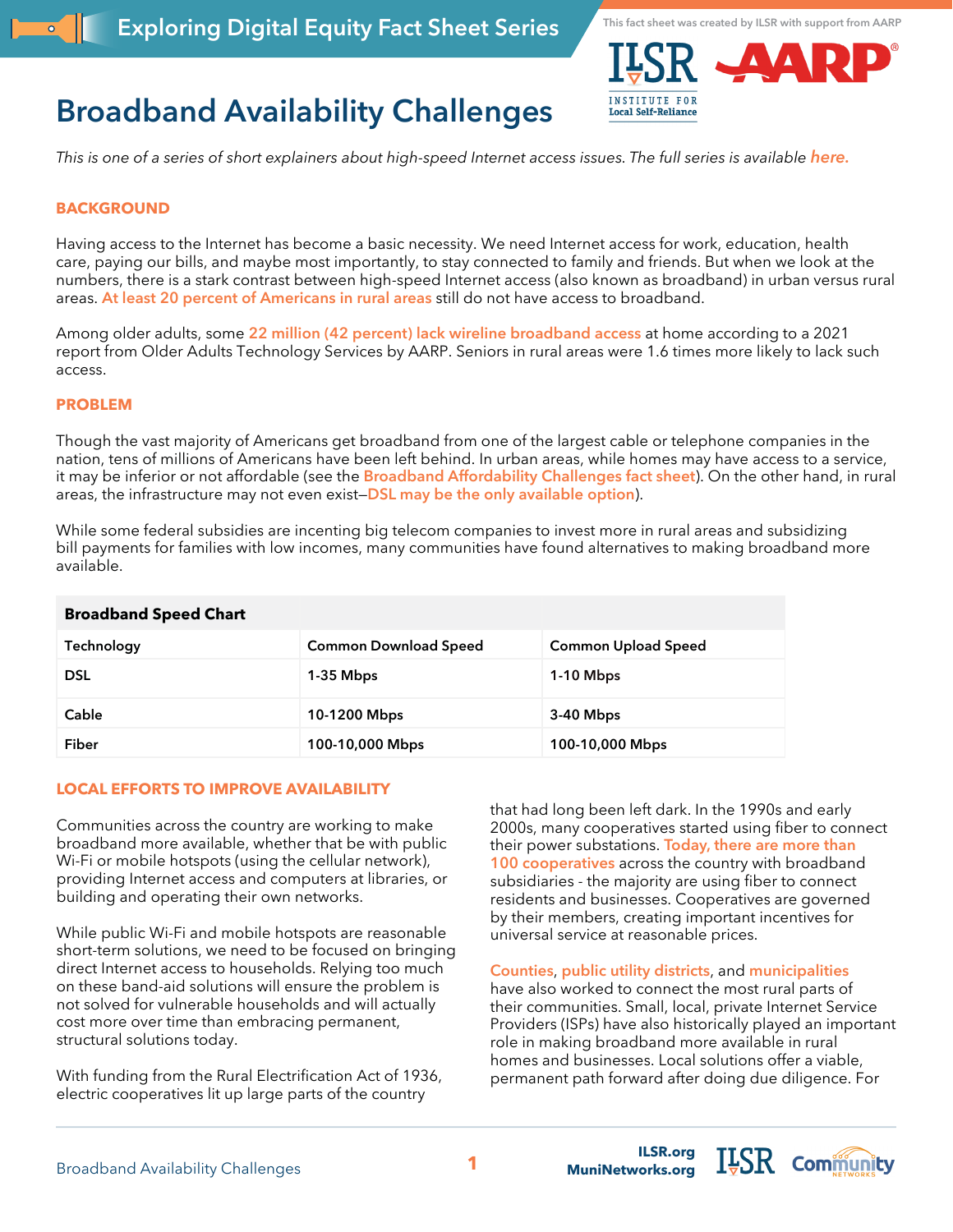**This fact sheet was created by ILSR with support from AARP**



# **Broadband Availability Challenges**

*This is one of a series of short explainers about high-speed Internet access issues. The full series is available [here.](https://ilsr.org/exploring-digital-equity-fact-sheets)*

### **BACKGROUND**

Having access to the Internet has become a basic necessity. We need Internet access for work, education, health care, paying our bills, and maybe most importantly, to stay connected to family and friends. But when we look at the numbers, there is a stark contrast between high-speed Internet access (also known as broadband) in urban versus rural areas. **[At least 20 percent of Americans in rural areas](https://www.fcc.gov/reports-research/reports/broadband-progress-reports/2020-broadband-deployment-report)** still do not have access to broadband.

Among older adults, some **[22 million \(42 percent\) lack wireline broadband access](https://agingconnected.org/report/)** at home according to a [2021](https://agingconnected.org/wp-content/uploads/2021/05/Aging-Connected_Exposing-the-Hidden-Connectivity-Crisis-for-Older-Adults.pdf)  [report](https://agingconnected.org/wp-content/uploads/2021/05/Aging-Connected_Exposing-the-Hidden-Connectivity-Crisis-for-Older-Adults.pdf) from Older Adults Technology Services by AARP. Seniors in rural areas were 1.6 times more likely to lack such access.

#### **PROBLEM**

Though the vast majority of Americans get broadband from one of the largest cable or telephone companies in the nation, tens of millions of Americans have been left behind. In urban areas, while homes may have access to a service, it may be inferior or not affordable (see the **[Broadband Affordability Challenges fact sheet](https://ilsr.org/exploring-digital-equity-fact-sheets)**). On the other hand, in rural areas, the infrastructure may not even exist—**[DSL may be the only available option](https://dailyyonder.com/dsl-the-slowest-technology-remains-the-one-most-available-in-rural/2019/09/18/)**).

While some federal subsidies are incenting big telecom companies to invest more in rural areas and subsidizing bill payments for families with low incomes, many communities have found alternatives to making broadband more available.

| <b>Broadband Speed Chart</b> |                              |                            |
|------------------------------|------------------------------|----------------------------|
| Technology                   | <b>Common Download Speed</b> | <b>Common Upload Speed</b> |
| <b>DSL</b>                   | $1-35$ Mbps                  | $1-10$ Mbps                |
| Cable                        | 10-1200 Mbps                 | 3-40 Mbps                  |
| Fiber                        | 100-10,000 Mbps              | 100-10,000 Mbps            |

#### **LOCAL EFFORTS TO IMPROVE AVAILABILITY**

Communities across the country are working to make broadband more available, whether that be with public Wi-Fi or mobile hotspots (using the cellular network), providing Internet access and computers at libraries, or building and operating their own networks.

While public Wi-Fi and mobile hotspots are reasonable short-term solutions, we need to be focused on bringing direct Internet access to households. Relying too much on these band-aid solutions will ensure the problem is not solved for vulnerable households and will actually cost more over time than embracing permanent, structural solutions today.

With funding from the Rural Electrification Act of 1936, electric cooperatives lit up large parts of the country

that had long been left dark. In the 1990s and early 2000s, many cooperatives started using fiber to connect their power substations. **[Today, there are more than](https://www.benton.org/blog/rural-electric-cooperatives-deliver-broadband)  [100 cooperatives](https://www.benton.org/blog/rural-electric-cooperatives-deliver-broadband)** across the country with broadband subsidiaries - the majority are using fiber to connect residents and businesses. Cooperatives are governed by their members, creating important incentives for universal service at reasonable prices.

**[Counties](https://www.washtenaw.org/2867/Broadband-Task-Force)**, **[public utility districts](https://www.chronline.com/stories/lewis-county-pud-finalizes-plan-for-county-wide-publicly-owned-broadband-backbone,269842)**, and **[municipalities](https://wcfcourier.com/news/local/govt-and-politics/cedar-falls-utilities-awarded-2-3-million-to-help-700-residents-get-better-internet/article_650dc2b6-ec02-55ed-a09a-af1e75c8c943.html)**

have also worked to connect the most rural parts of their communities. Small, local, private Internet Service Providers (ISPs) have also historically played an important role in making broadband more available in rural homes and businesses. Local solutions offer a viable, permanent path forward after doing due diligence. For

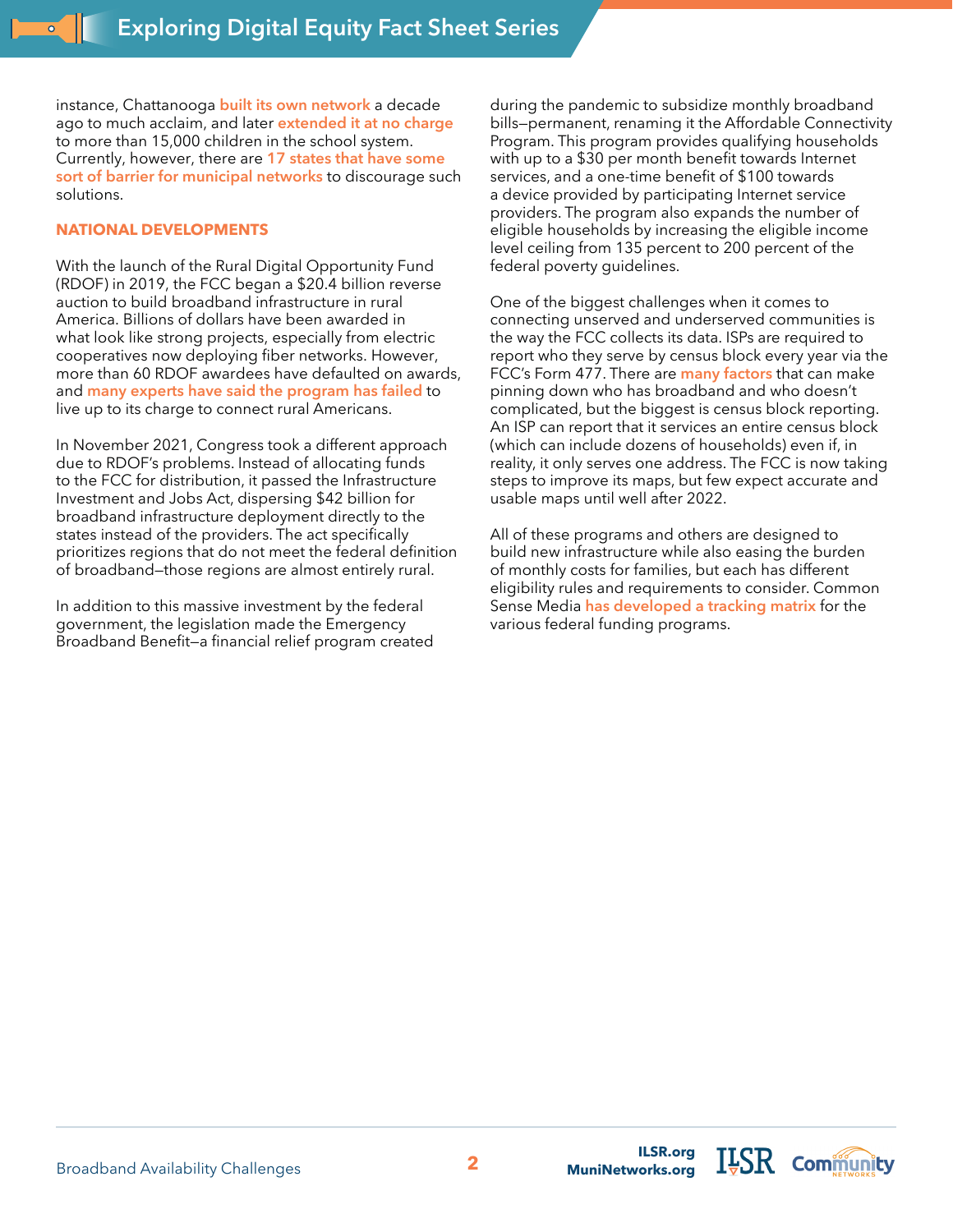instance, Chattanooga **[built its own network](https://www.govtech.com/network/chattanooga-tenn-makes-economic-case-for-municipal-broadband.html)** a decade ago to much acclaim, and later **[extended it at no charge](https://catalog.results4america.org/program/broadband-access-initiatives/hcs-edconnect-chattanooga-tn)**  to more than 15,000 children in the school system. Currently, however, there are **[17 states that have some](https://muninetworks.org/content/seventeen-states-preempt-municipal-broadband)  [sort of barrier for municipal networks](https://muninetworks.org/content/seventeen-states-preempt-municipal-broadband)** to discourage such solutions.

#### **NATIONAL DEVELOPMENTS**

With the launch of the Rural Digital Opportunity Fund (RDOF) in 2019, the FCC began a \$20.4 billion reverse auction to build broadband infrastructure in rural America. Billions of dollars have been awarded in what look like strong projects, especially from electric cooperatives now deploying fiber networks. However, more than 60 RDOF awardees have defaulted on awards, and **[many experts have said the program has failed](https://www.benton.org/blog/fcc%E2%80%99s-reverse-auction-fatally-wounded-or-just-bloodied?utm_source=sendgrid&utm_medium=email&utm_campaign=Newsletters)** to live up to its charge to connect rural Americans.

In November 2021, Congress took a different approach due to RDOF's problems. Instead of allocating funds to the FCC for distribution, it passed the Infrastructure Investment and Jobs Act, dispersing \$42 billion for broadband infrastructure deployment directly to the states instead of the providers. The act specifically prioritizes regions that do not meet the federal definition of broadband—those regions are almost entirely rural.

In addition to this massive investment by the federal government, the legislation made the Emergency Broadband Benefit—a financial relief program created

during the pandemic to subsidize monthly broadband bills—permanent, renaming it the Affordable Connectivity Program. This program provides qualifying households with up to a \$30 per month benefit towards Internet services, and a one-time benefit of \$100 towards a device provided by participating Internet service providers. The program also expands the number of eligible households by increasing the eligible income level ceiling from 135 percent to 200 percent of the federal poverty guidelines.

One of the biggest challenges when it comes to connecting unserved and underserved communities is the way the FCC collects its data. ISPs are required to report who they serve by census block every year via the FCC's Form 477. There are **[many factors](https://muninetworks.org/content/when-you-can%E2%80%99t-trust-data-broadband)** that can make pinning down who has broadband and who doesn't complicated, but the biggest is census block reporting. An ISP can report that it services an entire census block (which can include dozens of households) even if, in reality, it only serves one address. The FCC is now taking steps to improve its maps, but few expect accurate and usable maps until well after 2022.

All of these programs and others are designed to build new infrastructure while also easing the burden of monthly costs for families, but each has different eligibility rules and requirements to consider. Common Sense Media **has [developed a tracking matrix](https://www.commonsensemedia.org/sites/default/files/featured-content/files/federal_broadband_funding_guide.pdf)** for the various federal funding programs.

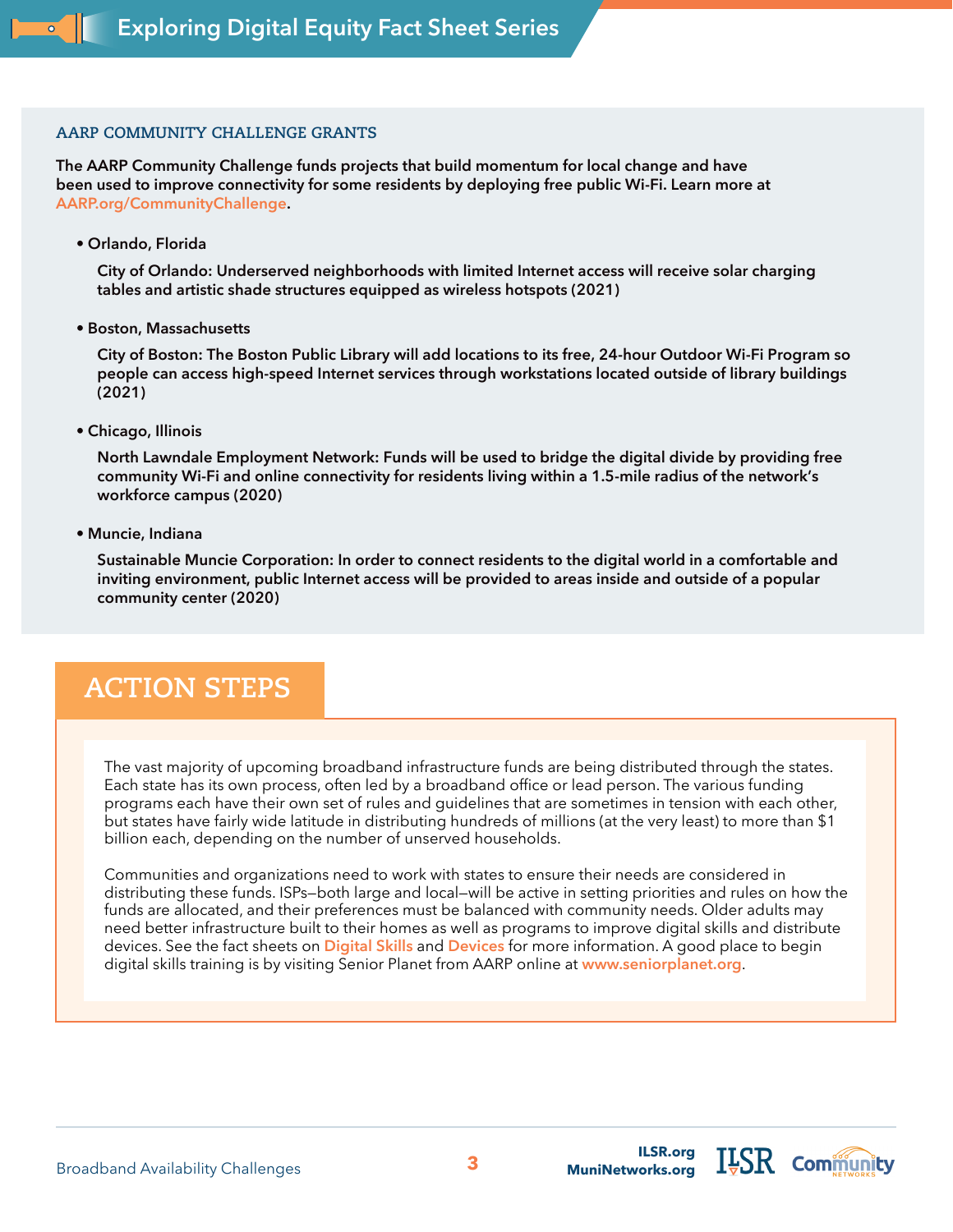#### **AARP COMMUNITY CHALLENGE GRANTS**

**The AARP Community Challenge funds projects that build momentum for local change and have been used to improve connectivity for some residents by deploying free public Wi-Fi. Learn more at [AARP.org/CommunityChallenge](https://www.aarp.org/livable-communities/community-challenge/?cmp=RDRCT-61887811-20200707).**

**• Orlando, Florida** 

**City of Orlando: Underserved neighborhoods with limited Internet access will receive solar charging tables and artistic shade structures equipped as wireless hotspots (2021)**

**• Boston, Massachusetts** 

**City of Boston: The Boston Public Library will add locations to its free, 24-hour Outdoor Wi-Fi Program so people can access high-speed Internet services through workstations located outside of library buildings (2021)**

**• Chicago, Illinois** 

**North Lawndale Employment Network: Funds will be used to bridge the digital divide by providing free community Wi-Fi and online connectivity for residents living within a 1.5-mile radius of the network's workforce campus (2020)**

**• Muncie, Indiana** 

**Sustainable Muncie Corporation: In order to connect residents to the digital world in a comfortable and inviting environment, public Internet access will be provided to areas inside and outside of a popular community center (2020)**

## **ACTION STEPS**

The vast majority of upcoming broadband infrastructure funds are being distributed through the states. Each state has its own process, often led by a broadband office or lead person. The various funding programs each have their own set of rules and guidelines that are sometimes in tension with each other, but states have fairly wide latitude in distributing hundreds of millions (at the very least) to more than \$1 billion each, depending on the number of unserved households.

Communities and organizations need to work with states to ensure their needs are considered in distributing these funds. ISPs—both large and local—will be active in setting priorities and rules on how the funds are allocated, and their preferences must be balanced with community needs. Older adults may need better infrastructure built to their homes as well as programs to improve digital skills and distribute devices. See the fact sheets on **[Digital Skills](https://ilsr.org/exploring-digital-equity-fact-sheets)** and **[Devices](https://ilsr.org/exploring-digital-equity-fact-sheets)** for more information. A good place to begin digital skills training is by visiting Senior Planet from AARP online at **[www.seniorplanet.org](https://seniorplanet.org/)**.